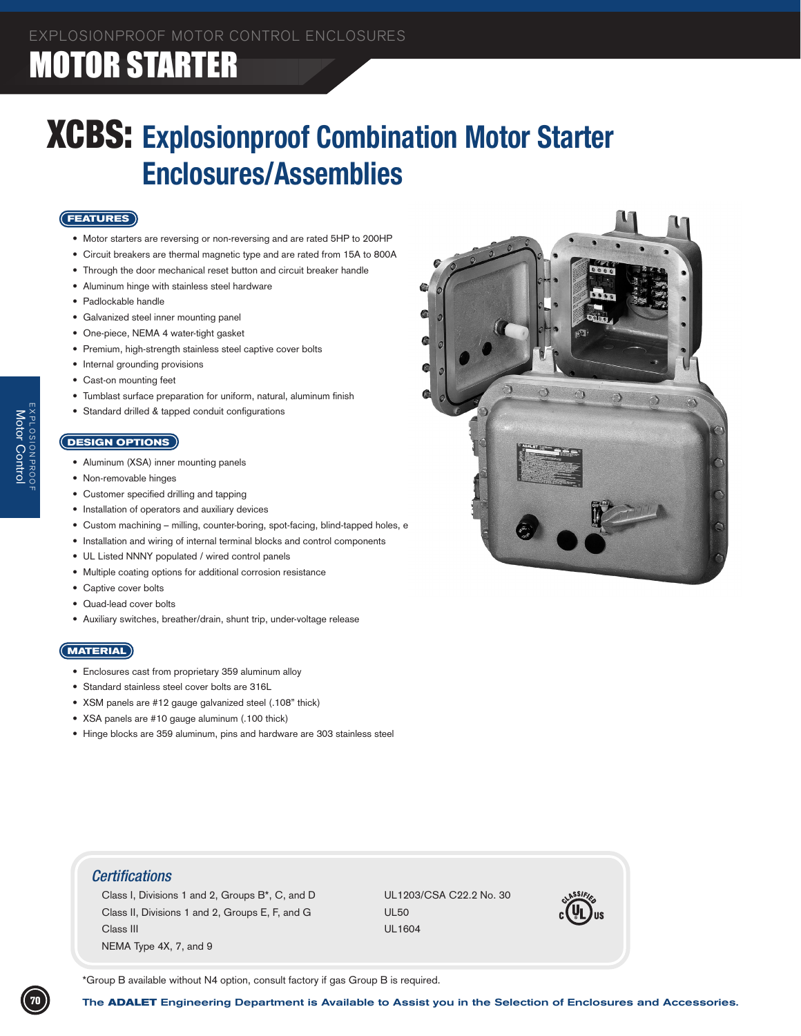### XCBS: **Explosionproof Combination Motor Starter Enclosures/Assemblies**

### **FEATURES**

- Motor starters are reversing or non-reversing and are rated 5HP to 200HP
- Circuit breakers are thermal magnetic type and are rated from 15A to 800A
- Through the door mechanical reset button and circuit breaker handle
- • Aluminum hinge with stainless steel hardware
- Padlockable handle
- • Galvanized steel inner mounting panel
- • One-piece, NEMA 4 water-tight gasket
- Premium, high-strength stainless steel captive cover bolts
- Internal grounding provisions
- Cast-on mounting feet
- Tumblast surface preparation for uniform, natural, aluminum finish
- Standard drilled & tapped conduit configurations

### **DESIGN OPTIONS**

EXPLOSIONPROOF Motor

Control

- Aluminum (XSA) inner mounting panels
- Non-removable hinges
- Customer specified drilling and tapping
- Installation of operators and auxiliary devices
- Custom machining milling, counter-boring, spot-facing, blind-tapped holes, e
- • Installation and wiring of internal terminal blocks and control components
- UL Listed NNNY populated / wired control panels
- Multiple coating options for additional corrosion resistance
- Captive cover bolts
- • Quad-lead cover bolts
- • Auxiliary switches, breather/drain, shunt trip, under-voltage release

#### **MATERIAL**

- Enclosures cast from proprietary 359 aluminum alloy
- • Standard stainless steel cover bolts are 316L
- • XSM panels are #12 gauge galvanized steel (.108" thick)
- XSA panels are #10 gauge aluminum (.100 thick)
- Hinge blocks are 359 aluminum, pins and hardware are 303 stainless steel



### *Certifications*

Class I, Divisions 1 and 2, Groups  $B^*$ , C, and D UL1203/CSA C22.2 No. 30 Class II, Divisions 1 and 2, Groups E, F, and G UL50 Class III **DELETS** CLASS III **DELETS** CLASS III **DELETS** CLASS III **DELETS** CLASS III NEMA Type 4X, 7, and 9 



\*Group B available without N4 option, consult factory if gas Group B is required.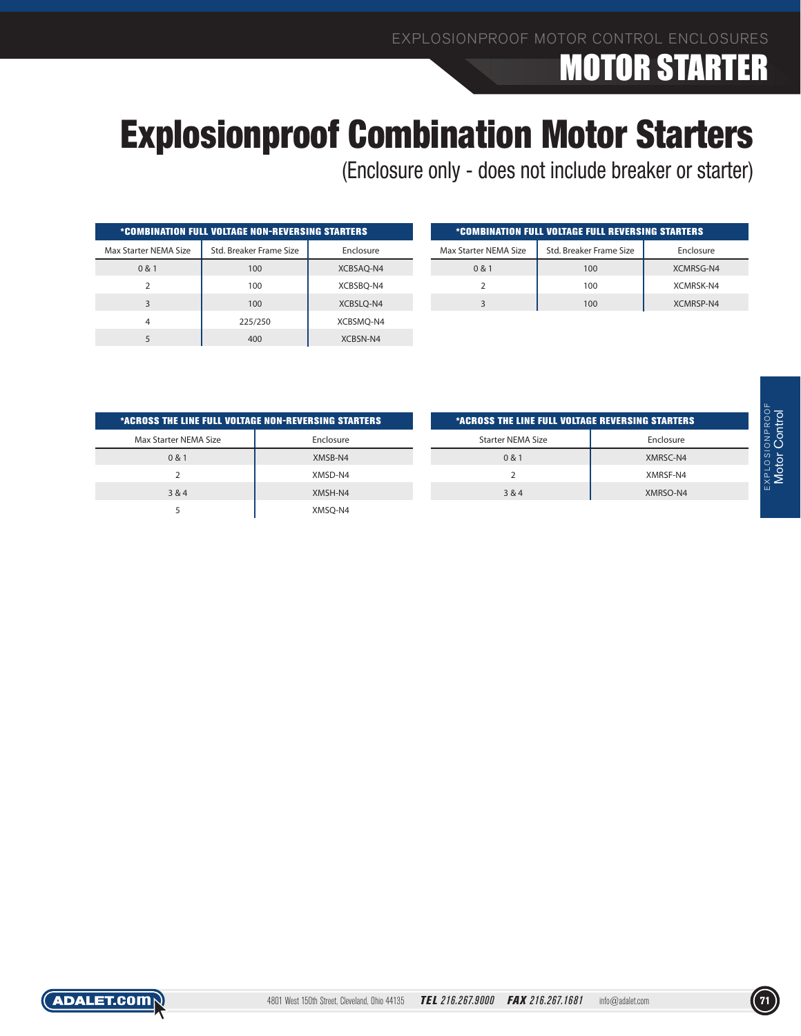## Explosionproof Combination Motor Starters

Τ

(Enclosure only - does not include breaker or starter)

| <i><b>*COMBINATION FULL VOLTAGE NON-REVERSING STARTERS</b></i> |                         |           |  |  |  |  |  |  |  |  |
|----------------------------------------------------------------|-------------------------|-----------|--|--|--|--|--|--|--|--|
| Max Starter NEMA Size                                          | Std. Breaker Frame Size | Enclosure |  |  |  |  |  |  |  |  |
| 0 & 1                                                          | 100                     | XCBSAO-N4 |  |  |  |  |  |  |  |  |
| ς                                                              | 100                     | XCBSBQ-N4 |  |  |  |  |  |  |  |  |
| 3                                                              | 100                     | XCBSLO-N4 |  |  |  |  |  |  |  |  |
| 4                                                              | 225/250                 | XCBSMO-N4 |  |  |  |  |  |  |  |  |
|                                                                | 400                     | XCBSN-N4  |  |  |  |  |  |  |  |  |

| *COMBINATION FULL VOLTAGE FULL REVERSING STARTERS |                         |           |  |  |  |  |  |  |  |  |
|---------------------------------------------------|-------------------------|-----------|--|--|--|--|--|--|--|--|
| Max Starter NEMA Size                             | Std. Breaker Frame Size | Enclosure |  |  |  |  |  |  |  |  |
| 0 & 1                                             | 100                     | XCMRSG-N4 |  |  |  |  |  |  |  |  |
|                                                   | 100                     | XCMRSK-N4 |  |  |  |  |  |  |  |  |
|                                                   | 100                     | XCMRSP-N4 |  |  |  |  |  |  |  |  |

| *ACROSS THE LINE FULL VOLTAGE NON-REVERSING STARTERS |           |
|------------------------------------------------------|-----------|
| Max Starter NEMA Size                                | Enclosure |
| 0 & 1                                                | XMSB-N4   |
| $\mathcal{P}$                                        | XMSD-N4   |
| 3 & 4                                                | XMSH-N4   |
| 5                                                    | XMSO-N4   |

| *ACROSS THE LINE FULL VOLTAGE REVERSING STARTERS |  |  |  |  |  |  |  |  |  |
|--------------------------------------------------|--|--|--|--|--|--|--|--|--|
| Enclosure                                        |  |  |  |  |  |  |  |  |  |
| XMRSC-N4                                         |  |  |  |  |  |  |  |  |  |
| XMRSF-N4                                         |  |  |  |  |  |  |  |  |  |
| XMRSO-N4                                         |  |  |  |  |  |  |  |  |  |
|                                                  |  |  |  |  |  |  |  |  |  |

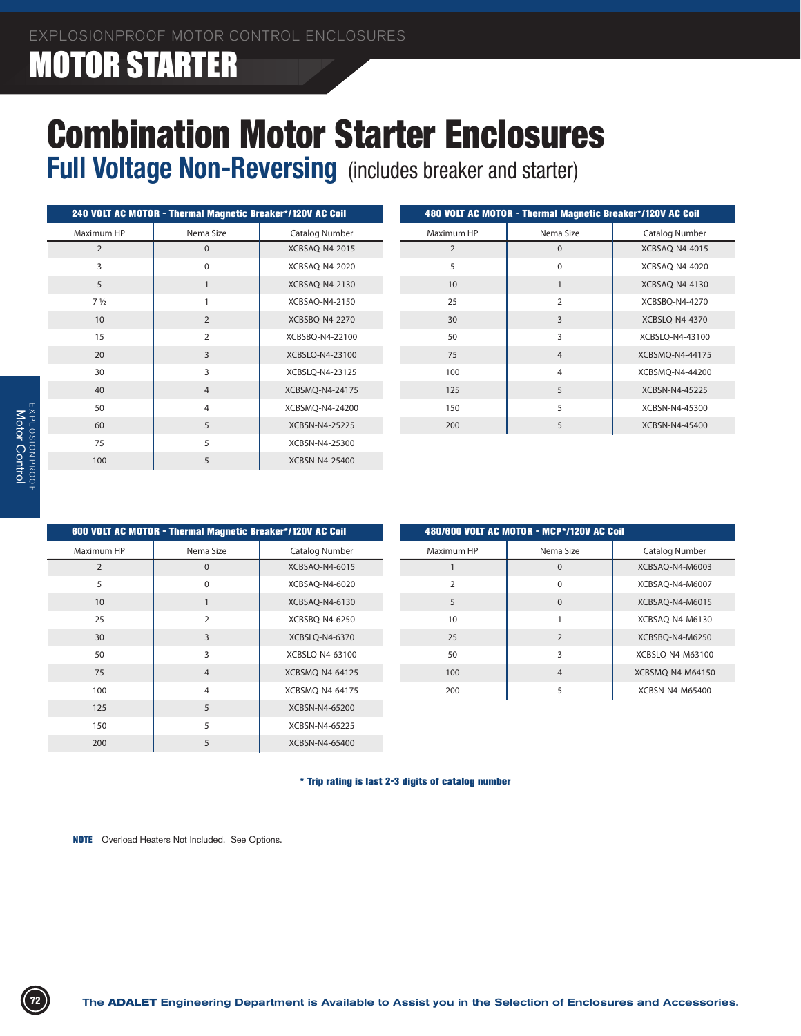# Combination Motor Starter Enclosures

**Full Voltage Non-Reversing** (includes breaker and starter)

|                | 240 VOLT AC MOTOR - Thermal Magnetic Breaker*/120V AC Coil |                 |                | 480 VOLT AC MOTOR - Thermal Magnetic Breaker*/120V AC Coil |                 |
|----------------|------------------------------------------------------------|-----------------|----------------|------------------------------------------------------------|-----------------|
| Maximum HP     | Nema Size                                                  | Catalog Number  | Maximum HP     | Nema Size                                                  | Catalog Number  |
| 2              | $\mathbf{0}$                                               | XCBSAQ-N4-2015  | $\overline{2}$ | $\mathbf{0}$                                               | XCBSAQ-N4-4015  |
| 3              | $\mathbf 0$                                                | XCBSAQ-N4-2020  | 5              | $\mathbf 0$                                                | XCBSAQ-N4-4020  |
| 5              |                                                            | XCBSAQ-N4-2130  | 10             |                                                            | XCBSAQ-N4-4130  |
| $7\frac{1}{2}$ |                                                            | XCBSAQ-N4-2150  | 25             | $\overline{2}$                                             | XCBSBQ-N4-4270  |
| 10             | $\overline{2}$                                             | XCBSBQ-N4-2270  | 30             | 3                                                          | XCBSLQ-N4-4370  |
| 15             | 2                                                          | XCBSBQ-N4-22100 | 50             | 3                                                          | XCBSLQ-N4-43100 |
| 20             | 3                                                          | XCBSLQ-N4-23100 | 75             | $\overline{4}$                                             | XCBSMQ-N4-44175 |
| 30             | 3                                                          | XCBSLQ-N4-23125 | 100            | 4                                                          | XCBSMQ-N4-44200 |
| 40             | $\overline{4}$                                             | XCBSMQ-N4-24175 | 125            | 5                                                          | XCBSN-N4-45225  |
| 50             | 4                                                          | XCBSMQ-N4-24200 | 150            | 5                                                          | XCBSN-N4-45300  |
| 60             | 5                                                          | XCBSN-N4-25225  | 200            | 5                                                          | XCBSN-N4-45400  |
| 75             | 5                                                          | XCBSN-N4-25300  |                |                                                            |                 |
| 100            | 5                                                          | XCBSN-N4-25400  |                |                                                            |                 |

| 600 VOLT AC MOTOR - Thermal Magnetic Breaker*/120V AC Coil |                |                       | 480/600 VOLT AC MOTOR - MCP*/120V AC Coil |                |                  |
|------------------------------------------------------------|----------------|-----------------------|-------------------------------------------|----------------|------------------|
| Maximum HP                                                 | Nema Size      | <b>Catalog Number</b> | Maximum HP                                | Nema Size      | Catalog Number   |
| $\overline{2}$                                             | $\mathbf{0}$   | XCBSAQ-N4-6015        |                                           | $\mathbf{0}$   | XCBSAQ-N4-M6003  |
| 5                                                          | $\mathbf 0$    | XCBSAQ-N4-6020        | $\overline{2}$                            | $\mathbf 0$    | XCBSAQ-N4-M6007  |
| 10                                                         |                | XCBSAQ-N4-6130        | 5                                         | $\mathbf{0}$   | XCBSAQ-N4-M6015  |
| 25                                                         | $\overline{2}$ | XCBSBQ-N4-6250        | 10                                        |                | XCBSAQ-N4-M6130  |
| 30                                                         | 3              | XCBSLQ-N4-6370        | 25                                        | $\overline{2}$ | XCBSBQ-N4-M6250  |
| 50                                                         | 3              | XCBSLO-N4-63100       | 50                                        | 3              | XCBSLO-N4-M63100 |
| 75                                                         | $\overline{4}$ | XCBSMQ-N4-64125       | 100                                       | $\overline{4}$ | XCBSMQ-N4-M64150 |
| 100                                                        | $\overline{4}$ | XCBSMQ-N4-64175       | 200                                       | 5              | XCBSN-N4-M65400  |
| 125                                                        | 5              | XCBSN-N4-65200        |                                           |                |                  |
| 150                                                        | 5              | XCBSN-N4-65225        |                                           |                |                  |
| 200                                                        | 5              | XCBSN-N4-65400        |                                           |                |                  |

\* Trip rating is last 2-3 digits of catalog number

**NOTE** Overload Heaters Not Included. See Options.

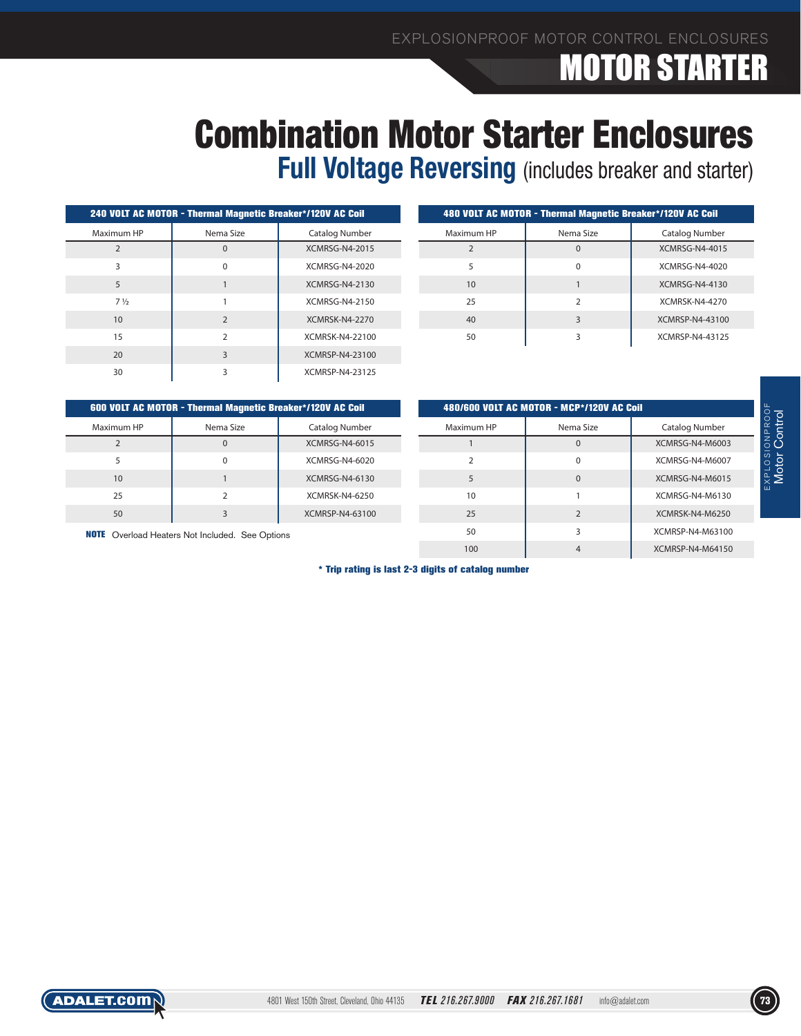# Combination Motor Starter Enclosures

**Full Voltage Reversing** (includes breaker and starter)

|                | 240 VOLT AC MOTOR - Thermal Magnetic Breaker*/120V AC Coil |                       | <b>480 VOLT AC MOTOR - 7</b> |  |
|----------------|------------------------------------------------------------|-----------------------|------------------------------|--|
| Maximum HP     | Nema Size                                                  | Catalog Number        | Maximum HP                   |  |
|                | 0                                                          | <b>XCMRSG-N4-2015</b> | $\mathfrak{D}$               |  |
| ς              | $\Omega$                                                   | XCMRSG-N4-2020        | 5                            |  |
| 5              |                                                            | XCMRSG-N4-2130        | 10                           |  |
| $7\frac{1}{2}$ |                                                            | XCMRSG-N4-2150        | 25                           |  |
| 10             | $\overline{2}$                                             | <b>XCMRSK-N4-2270</b> | 40                           |  |
| 15             | 2                                                          | XCMRSK-N4-22100       | 50                           |  |
| 20             | 3                                                          | XCMRSP-N4-23100       |                              |  |
| 30             | 3                                                          | XCMRSP-N4-23125       |                              |  |

|                          | 480 VOLT AC MOTOR - Thermal Magnetic Breaker*/120V AC Coil |                       |
|--------------------------|------------------------------------------------------------|-----------------------|
| Maximum HP               | Nema Size                                                  | Catalog Number        |
| $\overline{\phantom{0}}$ |                                                            | <b>XCMRSG-N4-4015</b> |
| 5                        | $\Omega$                                                   | <b>XCMRSG-N4-4020</b> |
| 10                       |                                                            | XCMRSG-N4-4130        |
| 25                       | $\mathcal{P}$                                              | <b>XCMRSK-N4-4270</b> |
| 40                       | 3                                                          | XCMRSP-N4-43100       |
| 50                       | 3                                                          | XCMRSP-N4-43125       |
|                          |                                                            |                       |

|            | 600 VOLT AC MOTOR - Thermal Magnetic Breaker*/120V AC Coil |                       |            | 480/600 VOLT AC MOTOR - MCP*/120V AC Coil |                  |  |  |  |
|------------|------------------------------------------------------------|-----------------------|------------|-------------------------------------------|------------------|--|--|--|
| Maximum HP | Nema Size                                                  | Catalog Number        | Maximum HP | Nema Size                                 | Catalog Number   |  |  |  |
|            | $\Omega$                                                   | <b>XCMRSG-N4-6015</b> |            | $\cap$                                    | XCMRSG-N4-M6003  |  |  |  |
|            | $\Omega$                                                   | XCMRSG-N4-6020        |            | $\Omega$                                  | XCMRSG-N4-M6007  |  |  |  |
| 10         |                                                            | XCMRSG-N4-6130        |            | $\Omega$                                  | XCMRSG-N4-M6015  |  |  |  |
| 25         |                                                            | XCMRSK-N4-6250        | 10         |                                           | XCMRSG-N4-M6130  |  |  |  |
| 50         |                                                            | XCMRSP-N4-63100       | 25         |                                           | XCMRSK-N4-M6250  |  |  |  |
|            | <b>NOTE</b> Overload Heaters Not Included. See Options     |                       | 50         |                                           | XCMRSP-N4-M63100 |  |  |  |
|            |                                                            |                       | 100        |                                           | XCMRSP-N4-M64150 |  |  |  |

\* Trip rating is last 2-3 digits of catalog number

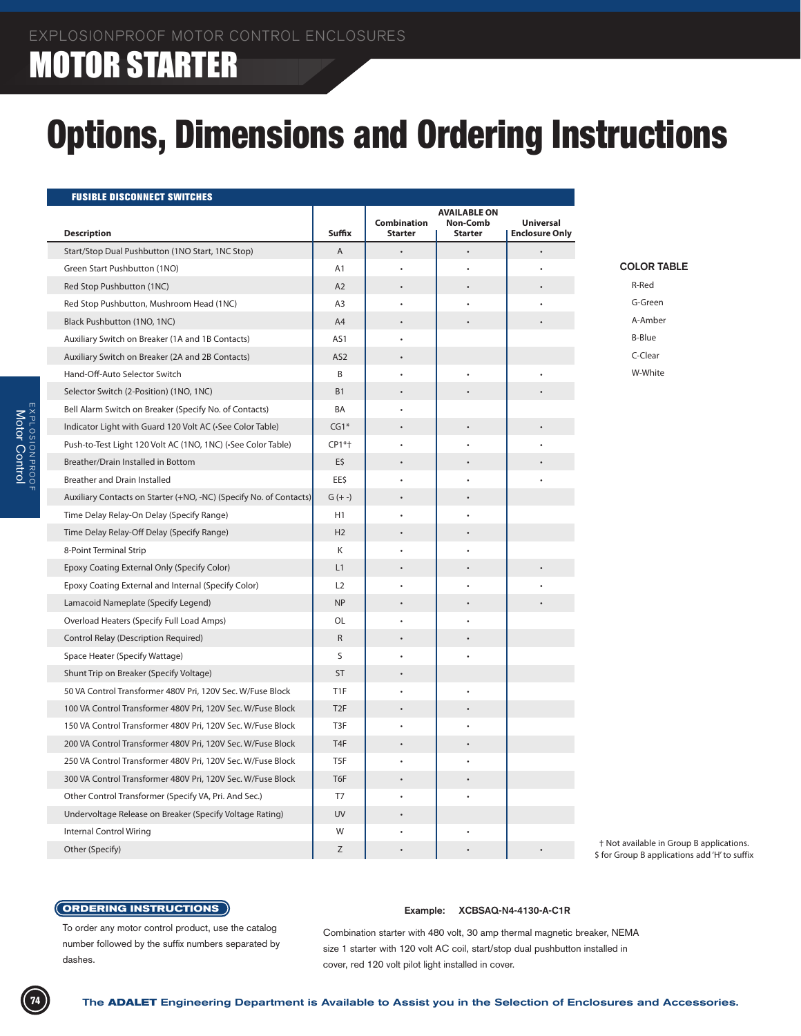# Options, Dimensions and Ordering Instructions

| <b>FUSIBLE DISCONNECT SWITCHES</b>                                 |                  |                                      |                                                   |                                           |                                                                                          |
|--------------------------------------------------------------------|------------------|--------------------------------------|---------------------------------------------------|-------------------------------------------|------------------------------------------------------------------------------------------|
| <b>Description</b>                                                 | Suffix           | <b>Combination</b><br><b>Starter</b> | <b>AVAILABLE ON</b><br>Non-Comb<br><b>Starter</b> | <b>Universal</b><br><b>Enclosure Only</b> |                                                                                          |
| Start/Stop Dual Pushbutton (1NO Start, 1NC Stop)                   | A                |                                      |                                                   |                                           |                                                                                          |
| Green Start Pushbutton (1NO)                                       | A1               |                                      |                                                   |                                           | <b>COLOR TABLE</b>                                                                       |
| Red Stop Pushbutton (1NC)                                          | A2               | $\ddot{\phantom{0}}$                 |                                                   |                                           | R-Red                                                                                    |
| Red Stop Pushbutton, Mushroom Head (1NC)                           | A3               | $\bullet$                            | $\bullet$                                         |                                           | G-Green                                                                                  |
| Black Pushbutton (1NO, 1NC)                                        | A4               | $\bullet$                            |                                                   |                                           | A-Amber                                                                                  |
| Auxiliary Switch on Breaker (1A and 1B Contacts)                   | AS1              | $\bullet$                            |                                                   |                                           | <b>B-Blue</b>                                                                            |
| Auxiliary Switch on Breaker (2A and 2B Contacts)                   | AS <sub>2</sub>  | $\bullet$                            |                                                   |                                           | C-Clear                                                                                  |
| Hand-Off-Auto Selector Switch                                      | B                |                                      | $\bullet$                                         |                                           | W-White                                                                                  |
| Selector Switch (2-Position) (1NO, 1NC)                            | <b>B1</b>        | $\bullet$                            |                                                   |                                           |                                                                                          |
| Bell Alarm Switch on Breaker (Specify No. of Contacts)             | BA               |                                      |                                                   |                                           |                                                                                          |
| Indicator Light with Guard 120 Volt AC (.See Color Table)          | $CG1*$           | $\bullet$                            | $\bullet$                                         |                                           |                                                                                          |
| Push-to-Test Light 120 Volt AC (1NO, 1NC) (-See Color Table)       | CP1*+            |                                      |                                                   |                                           |                                                                                          |
| Breather/Drain Installed in Bottom                                 | E\$              |                                      |                                                   |                                           |                                                                                          |
| <b>Breather and Drain Installed</b>                                | EE\$             |                                      |                                                   |                                           |                                                                                          |
| Auxiliary Contacts on Starter (+NO, -NC) (Specify No. of Contacts) | $G (+ -)$        | $\bullet$                            |                                                   |                                           |                                                                                          |
| Time Delay Relay-On Delay (Specify Range)                          | H1               |                                      |                                                   |                                           |                                                                                          |
| Time Delay Relay-Off Delay (Specify Range)                         | H2               |                                      |                                                   |                                           |                                                                                          |
| 8-Point Terminal Strip                                             | Κ                |                                      |                                                   |                                           |                                                                                          |
| Epoxy Coating External Only (Specify Color)                        | L1               |                                      |                                                   |                                           |                                                                                          |
| Epoxy Coating External and Internal (Specify Color)                | L2               |                                      |                                                   |                                           |                                                                                          |
| Lamacoid Nameplate (Specify Legend)                                | <b>NP</b>        |                                      | $\bullet$                                         |                                           |                                                                                          |
| Overload Heaters (Specify Full Load Amps)                          | OL               |                                      |                                                   |                                           |                                                                                          |
| Control Relay (Description Required)                               | R                |                                      |                                                   |                                           |                                                                                          |
| Space Heater (Specify Wattage)                                     | S                |                                      | $\bullet$                                         |                                           |                                                                                          |
| Shunt Trip on Breaker (Specify Voltage)                            | <b>ST</b>        | $\ddot{\phantom{0}}$                 |                                                   |                                           |                                                                                          |
| 50 VA Control Transformer 480V Pri, 120V Sec. W/Fuse Block         | T <sub>1</sub> F | $\bullet$                            | $\bullet$                                         |                                           |                                                                                          |
| 100 VA Control Transformer 480V Pri, 120V Sec. W/Fuse Block        | T <sub>2F</sub>  | $\bullet$                            | $\bullet$                                         |                                           |                                                                                          |
| 150 VA Control Transformer 480V Pri, 120V Sec. W/Fuse Block        | T3F              |                                      | $\bullet$                                         |                                           |                                                                                          |
| 200 VA Control Transformer 480V Pri, 120V Sec. W/Fuse Block        | T <sub>4F</sub>  | $\bullet$                            | $\bullet$                                         |                                           |                                                                                          |
| 250 VA Control Transformer 480V Pri, 120V Sec. W/Fuse Block        | T5F              |                                      |                                                   |                                           |                                                                                          |
| 300 VA Control Transformer 480V Pri, 120V Sec. W/Fuse Block        | T6F              | $\ddot{\phantom{0}}$                 | $\bullet$                                         |                                           |                                                                                          |
| Other Control Transformer (Specify VA, Pri. And Sec.)              | T7               |                                      |                                                   |                                           |                                                                                          |
| Undervoltage Release on Breaker (Specify Voltage Rating)           | <b>UV</b>        | $\bullet$                            |                                                   |                                           |                                                                                          |
| <b>Internal Control Wiring</b>                                     | W                |                                      |                                                   |                                           |                                                                                          |
| Other (Specify)                                                    | Z                | $\bullet$                            | $\bullet$                                         |                                           | † Not available in Group B applications.<br>\$ for Group B applications add 'H' to suffi |

### **ORDERING INSTRUCTIONS**

#### To order any motor control product, use the catalog number followed by the suffix numbers separated by dashes.

### **Example: XCBSAQ-N4-4130-A-C1R**

Combination starter with 480 volt, 30 amp thermal magnetic breaker, NEMA size 1 starter with 120 volt AC coil, start/stop dual pushbutton installed in cover, red 120 volt pilot light installed in cover.

I.